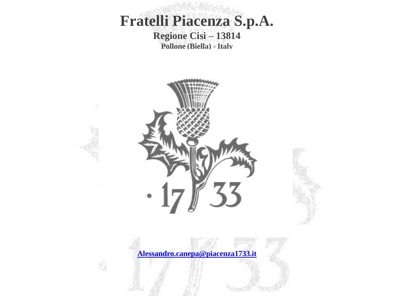**Fratelli Piacenza S.p.A. Regione Cisi – 13814 Pollone (Biella) - Italy**



ŋ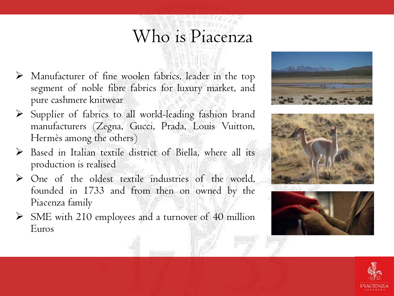## Who is Piacenza

- Manufacturer of fine woolen fabrics, leader in the top segment of noble fibre fabrics for luxury market, and pure cashmere knitwear
- $\triangleright$  Supplier of fabrics to all world-leading fashion brand manufacturers (Zegna, Gucci, Prada, Louis Vuitton, Hermès among the others)
- $\triangleright$  Based in Italian textile district of Biella, where all its production is realised
- One of the oldest textile industries of the world, founded in 1733 and from then on owned by the Piacenza family
- SME with 210 employees and a turnover of 40 million Euros







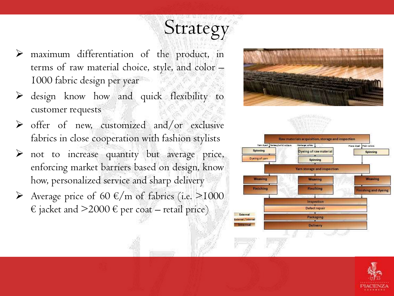maximum differentiation of the product, in terms of raw material choice, style, and color – 1000 fabric design per year

Strategy

- design know how and quick flexibility to customer requests
- $\triangleright$  offer of new, customized and/or exclusive fabrics in close cooperation with fashion stylists
- not to increase quantity but average price, enforcing market barriers based on design, know how, personalized service and sharp delivery
- Average price of 60  $\epsilon/m$  of fabrics (i.e. >1000  $\epsilon$  jacket and  $>$  2000  $\epsilon$  per coat – retail price)





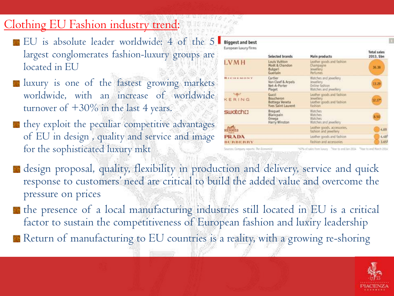#### Clothing EU Fashion industry trend:

- EU is absolute leader worldwide: 4 of the 5 largest conglomerates fashion-luxury groups are located in EU
- luxury is one of the fastest growing markets worldwide, with an increase of worldwide turnover of  $+30\%$  in the last 4 years.
- they exploit the peculiar competitive advantages of EU in design , quality and service and image for the sophisticated luxury mkt

| <b>Biggest and best</b><br>European luxury firms |                                                                   |                                                                                 |                                  |
|--------------------------------------------------|-------------------------------------------------------------------|---------------------------------------------------------------------------------|----------------------------------|
|                                                  | Selected brands                                                   | Main products                                                                   | <b>Total sales</b><br>2013, \$bn |
| <b>LVMH</b>                                      | <b>Louis Vuitton</b><br>Moet & Chandon<br>Bulgari<br>Guerlain     | Leather goods and fashion<br>Champagne<br><b>Inwellery</b><br>Perfumes.         | 36.38                            |
| <b>RECEIVEMONT</b>                               | Cartier<br>Van Cleef & Arpels<br>Net-A-Porter<br>Plaget           | Watches and jewellery<br>Jewellery<br>Online fashion.<br>Watches and jewellery. | 13.29                            |
| hip of<br>KERING                                 | Gucci<br><b>Boucheron</b><br>Bottega Veneta<br>Yves Saint Laurent | Leather goods and fashion<br>Jewellery<br>Leather goods and fashion<br>Fashion  | $12.17*$                         |
| <b>SWatch!]</b>                                  | Brequet<br>Blancpain<br>Omega<br>Harry Winston                    | <b>Watches</b><br>Watches<br><b>Watches</b><br>Watches and jewellery.           | 1.50                             |
| ESMES                                            |                                                                   | Leather goods, accessories,<br>fashion and jewellery                            | 4.69                             |
| PRADA                                            |                                                                   | Leather goods and fashion                                                       | 4,48                             |
| <b>BURBERRY</b>                                  |                                                                   | Fashion and accessories                                                         | 3.65                             |

67% of sales from luxury.

- design proposal, quality, flexibility in production and delivery, service and quick response to customers' need are critical to build the added value and overcome the pressure on prices
- the presence of a local manufacturing industries still located in EU is a critical factor to sustain the competitiveness of European fashion and luxiry leadership
- Return of manufacturing to EU countries is a reality, with a growing re-shoring

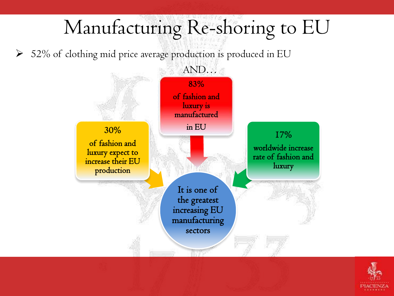## Manufacturing Re-shoring to EU

 $>$  52% of clothing mid price average production is produced in EU



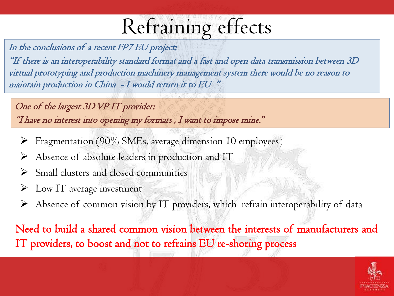## Refraining effects

In the conclusions of a recent FP7 EU project:

"If there is an interoperability standard format and a fast and open data transmission between 3D virtual prototyping and production machinery management system there would be no reason to maintain production in China - I would return it to EU "

One of the largest 3D VP IT provider: "I have no interest into opening my formats , I want to impose mine."

- Fragmentation (90% SMEs, average dimension 10 employees)
- Absence of absolute leaders in production and IT
- Small clusters and closed communities
- Low IT average investment
- Absence of common vision by IT providers, which refrain interoperability of data

Need to build a shared common vision between the interests of manufacturers and IT providers, to boost and not to refrains EU re-shoring process

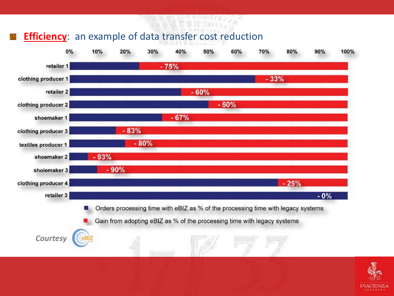#### **Efficiency**: an example of data transfer cost reduction



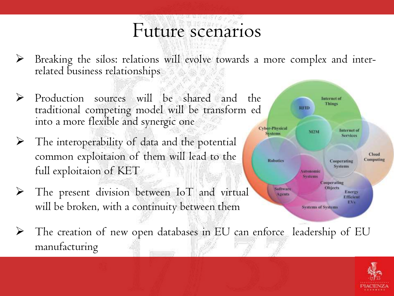## Future scenarios

- Breaking the silos: relations will evolve towards a more complex and interrelated business relationships
- $\triangleright$  Production sources will be shared and the traditional competing model will be transform ed into a more flexible and synergic one **Cyber-Physical**
- $\triangleright$  The interoperability of data and the potential common exploitaion of them will lead to the full exploitaion of KET
- $\triangleright$  The present division between IoT and virtual will be broken, with a continuity between them
- The creation of new open databases in EU can enforce leadership of EU manufacturing



Cloud Computing

**Internet** of Things

**Internet** of

**Services** 

Energy

Efficient EVs

Cooperating **Systems** 

Cooperating Objects

**REID** 

**Systems** 

**Robotics** 

Software

Agents

**M2M** 

Autonomic **Systems** 

**Systems of Systems**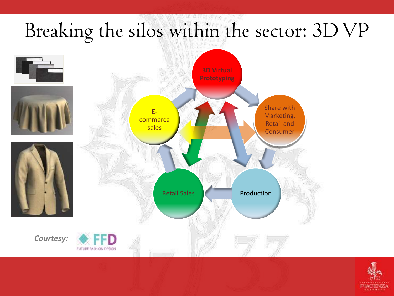

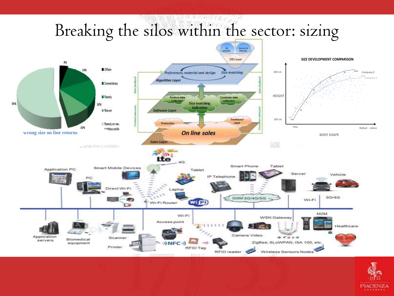

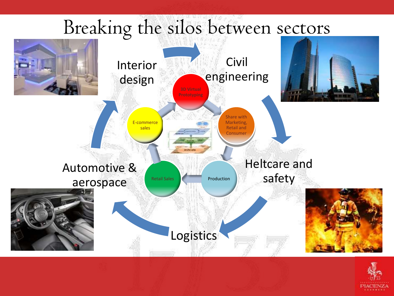### Breaking the silos between sectors